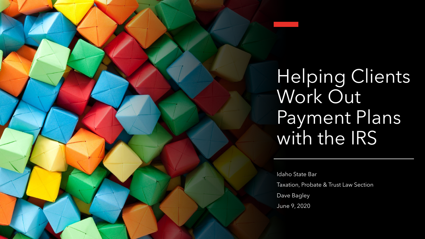Helping Clients Work Out Payment Plans with the IRS

Idaho State Bar Taxation, Probate & Trust Law Section Dave Bagley June 9, 2020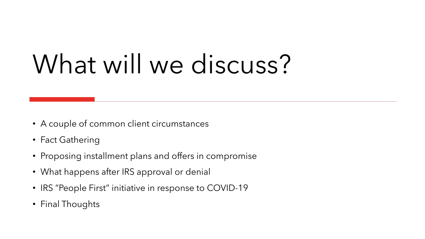# What will we discuss?

- A couple of common client circumstances
- Fact Gathering
- Proposing installment plans and offers in compromise
- What happens after IRS approval or denial
- IRS "People First" initiative in response to COVID-19
- Final Thoughts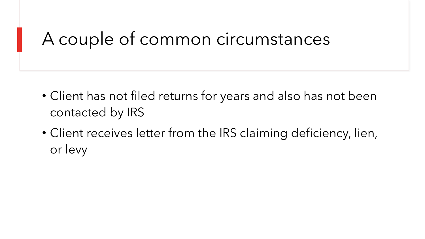### A couple of common circumstances

- Client has not filed returns for years and also has not been contacted by IRS
- Client receives letter from the IRS claiming deficiency, lien, or levy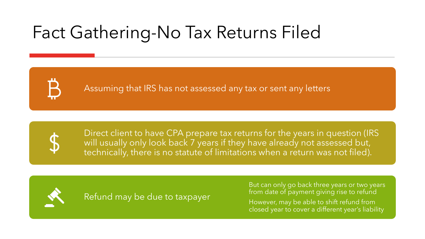# Fact Gathering-No Tax Returns Filed

Assuming that IRS has not assessed any tax or sent any letters



Direct client to have CPA prepare tax returns for the years in question (IRS will usually only look back 7 years if they have already not assessed but, technically, there is no statute of limitations when a return was not filed).



Refund may be due to taxpayer

But can only go back three years or two years from date of payment giving rise to refund However, may be able to shift refund from closed year to cover a different year's liability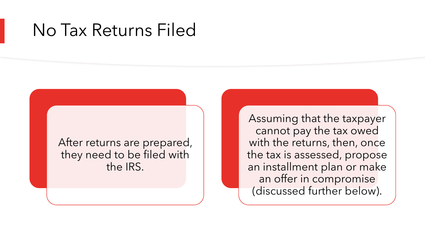### No Tax Returns Filed

After returns are prepared, they need to be filed with the IRS.

Assuming that the taxpayer cannot pay the tax owed with the returns, then, once the tax is assessed, propose an installment plan or make an offer in compromise (discussed further below).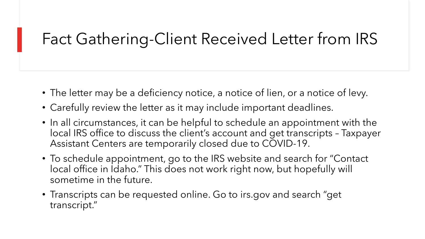#### Fact Gathering-Client Received Letter from IRS

- The letter may be a deficiency notice, a notice of lien, or a notice of levy.
- Carefully review the letter as it may include important deadlines.
- In all circumstances, it can be helpful to schedule an appointment with the local IRS office to discuss the client's account and get transcripts – Taxpayer Assistant Centers are temporarily closed due to COVID-19.
- To schedule appointment, go to the IRS website and search for "Contact local office in Idaho." This does not work right now, but hopefully will sometime in the future.
- Transcripts can be requested online. Go to irs.gov and search "get transcript."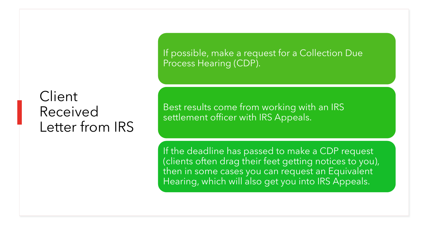#### Client Received Letter from IRS

If possible, make a request for a Collection Due Process Hearing (CDP).

Best results come from working with an IRS settlement officer with IRS Appeals.

If the deadline has passed to make a CDP request (clients often drag their feet getting notices to you), then in some cases you can request an Equivalent Hearing, which will also get you into IRS Appeals.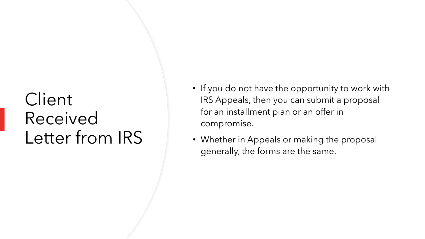### **Client** Received Letter from IRS

- If you do not have the opportunity to work with IRS Appeals, then you can submit a proposal for an installment plan or an offer in compromise.
- Whether in Appeals or making the proposal generally, the forms are the same.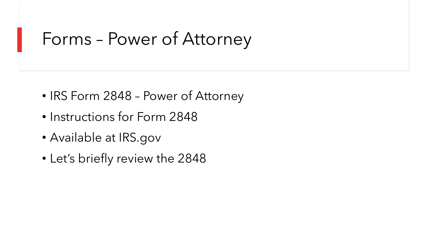### Forms – Power of Attorney

- IRS Form 2848 Power of Attorney
- Instructions for Form 2848
- Available at IRS.gov
- Let's briefly review the 2848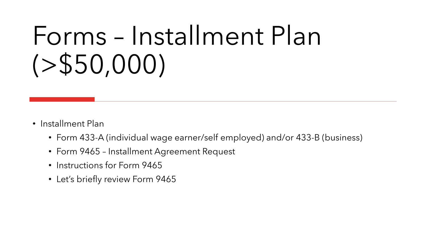# Forms – Installment Plan  $( > $50,000)$

- Installment Plan
	- Form 433-A (individual wage earner/self employed) and/or 433-B (business)
	- Form 9465 Installment Agreement Request
	- Instructions for Form 9465
	- Let's briefly review Form 9465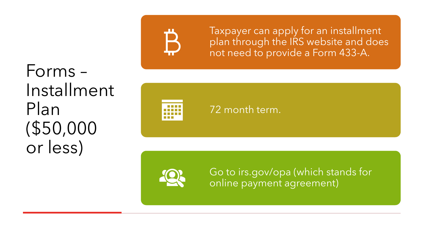Forms – Installment Plan (\$50,000 or less)



Taxpayer can apply for an installment plan through the IRS website and does not need to provide a Form 433 -A.

72 month term.

Go to irs.gov /opa (which stands for online payment agreement)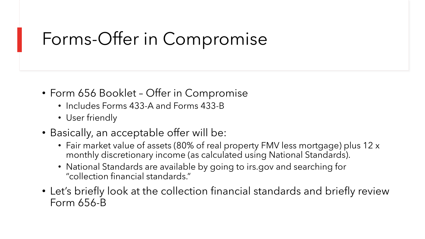# Forms-Offer in Compromise

- Form 656 Booklet Offer in Compromise
	- Includes Forms 433-A and Forms 433-B
	- User friendly
- Basically, an acceptable offer will be:
	- Fair market value of assets (80% of real property FMV less mortgage) plus 12 x monthly discretionary income (as calculated using National Standards).
	- National Standards are available by going to irs.gov and searching for "collection financial standards."
- Let's briefly look at the collection financial standards and briefly review Form 656-B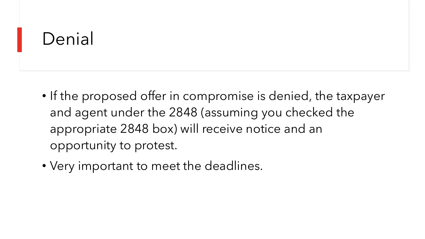### Denial

- If the proposed offer in compromise is denied, the taxpayer and agent under the 2848 (assuming you checked the appropriate 2848 box) will receive notice and an opportunity to protest.
- Very important to meet the deadlines.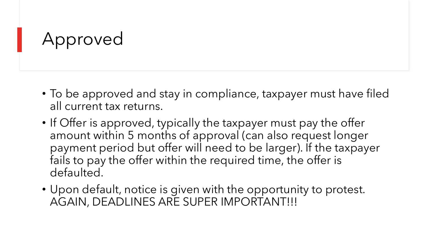### Approved

- To be approved and stay in compliance, taxpayer must have filed all current tax returns.
- If Offer is approved, typically the taxpayer must pay the offer amount within 5 months of approval (can also request longer payment period but offer will need to be larger). If the taxpayer fails to pay the offer within the required time, the offer is defaulted.
- Upon default, notice is given with the opportunity to protest. AGAIN, DEADLINES ARE SUPER IMPORTANT!!!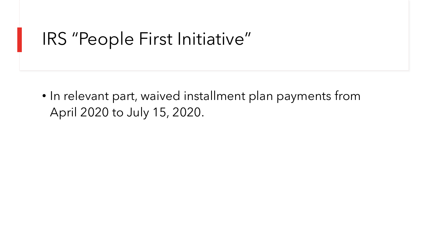### IRS "People First Initiative"

• In relevant part, waived installment plan payments from April 2020 to July 15, 2020.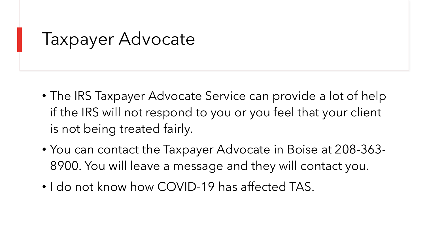Taxpayer Advocate

- The IRS Taxpayer Advocate Service can provide a lot of help if the IRS will not respond to you or you feel that your client is not being treated fairly.
- You can contact the Taxpayer Advocate in Boise at 208-363- 8900. You will leave a message and they will contact you.
- I do not know how COVID-19 has affected TAS.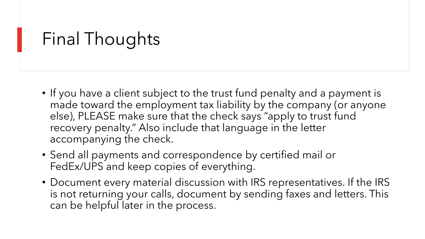# Final Thoughts

- If you have a client subject to the trust fund penalty and a payment is made toward the employment tax liability by the company (or anyone else), PLEASE make sure that the check says "apply to trust fund recovery penalty." Also include that language in the letter accompanying the check.
- Send all payments and correspondence by certified mail or FedEx/UPS and keep copies of everything.
- Document every material discussion with IRS representatives. If the IRS is not returning your calls, document by sending faxes and letters. This can be helpful later in the process.